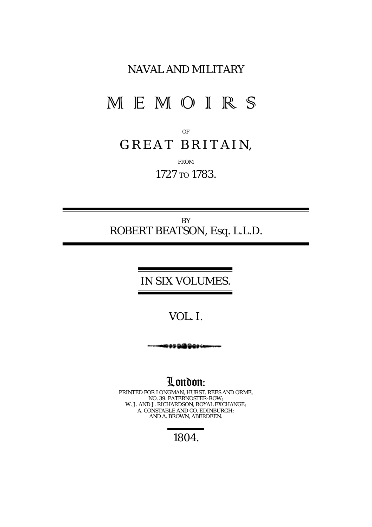## NAVAL AND MILITARY

# MEMOIRS

OF

# *GREAT BRITAI N,*

FROM

1727 TO 1783.

BY *ROBERT BEATSON, Esq. L.L.D.*

#### IN SIX VOLUMES.

## VOL. I.

ے دون کی دو د

London: PRINTED FOR LONGMAN, HURST. REES AND ORME, NO. 39. PATERNOSTER-ROW; W. J. AND J. RICHARDSON, ROYAL EXCHANGE; A. CONSTABLE AND CO. EDINBURGH; AND A. BROWN, ABERDEEN.

1804.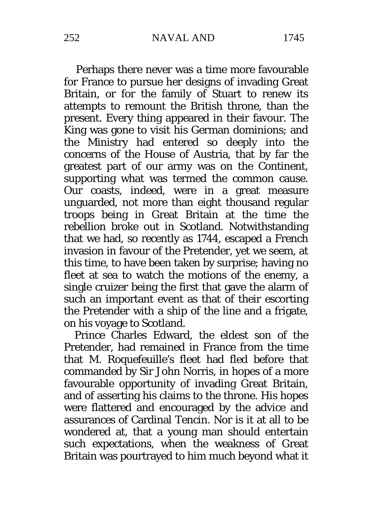Perhaps there never was a time more favourable for France to pursue her designs of invading Great Britain, or for the family of Stuart to renew its attempts to remount the British throne, than the present. Every thing appeared in their favour. The King was gone to visit his German dominions; and the Ministry had entered so deeply into the concerns of the House of Austria, that by far the greatest part of our army was on the Continent, supporting what was termed the common cause. Our coasts, indeed, were in a great measure unguarded, not more than eight thousand regular troops being in Great Britain at the time the rebellion broke out in Scotland. Notwithstanding that we had, so recently as 1744, escaped a French invasion in favour of the Pretender, yet we seem, at this time, to have been taken by surprise; having no fleet at sea to watch the motions of the enemy, a single cruizer being the first that gave the alarm of such an important event as that of their escorting the Pretender with a ship of the line and a frigate, on his voyage to Scotland.

Prince Charles Edward, the eldest son of the Pretender, had remained in France from the time that M. Roquefeuille's fleet had fled before that commanded by Sir John Norris, in hopes of a more favourable opportunity of invading Great Britain, and of asserting his claims to the throne. His hopes were flattered and encouraged by the advice and assurances of Cardinal Tencin. Nor is it at all to be wondered at, that a young man should entertain such expectations, when the weakness of Great Britain was pourtrayed to him much beyond what it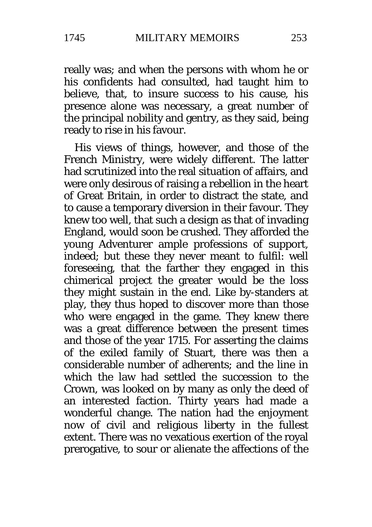really was; and when the persons with whom he or his confidents had consulted, had taught him to believe, that, to insure success to his cause, his presence alone was necessary, a great number of the principal nobility and gentry, as they said, being ready to rise in his favour.

His views of things, however, and those of the French Ministry, were widely different. The latter had scrutinized into the real situation of affairs, and were only desirous of raising a rebellion in the heart of Great Britain, in order to distract the state, and to cause a temporary diversion in their favour. They knew too well, that such a design as that of invading England, would soon be crushed. They afforded the young Adventurer ample professions of support, indeed; but these they never meant to fulfil: well foreseeing, that the farther they engaged in this chimerical project the greater would be the loss they might sustain in the end. Like by-standers at play, they thus hoped to discover more than those who were engaged in the game. They knew there was a great difference between the present times and those of the year 1715. For asserting the claims of the exiled family of Stuart, there was then a considerable number of adherents; and the line in which the law had settled the succession to the Crown, was looked on by many as only the deed of an interested faction. Thirty years had made a wonderful change. The nation had the enjoyment now of civil and religious liberty in the fullest extent. There was no vexatious exertion of the royal prerogative, to sour or alienate the affections of the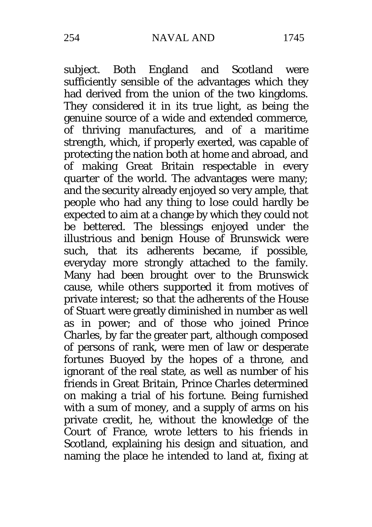subject. Both England and Scotland were sufficiently sensible of the advantages which they had derived from the union of the two kingdoms. They considered it in its true light, as being the genuine source of a wide and extended commerce, of thriving manufactures, and of a maritime strength, which, if properly exerted, was capable of protecting the nation both at home and abroad, and of making Great Britain respectable in every quarter of the world. The advantages were many; and the security already enjoyed so very ample, that people who had any thing to lose could hardly be expected to aim at a change by which they could not be bettered. The blessings enjoyed under the illustrious and benign House of Brunswick were such, that its adherents became, if possible, everyday more strongly attached to the family. Many had been brought over to the Brunswick cause, while others supported it from motives of private interest; so that the adherents of the House of Stuart were greatly diminished in number as well as in power; and of those who joined Prince Charles, by far the greater part, although composed of persons of rank, were men of law or desperate fortunes Buoyed by the hopes of a throne, and ignorant of the real state, as well as number of his friends in Great Britain, Prince Charles determined on making a trial of his fortune. Being furnished with a sum of money, and a supply of arms on his private credit, he, without the knowledge of the Court of France, wrote letters to his friends in Scotland, explaining his design and situation, and naming the place he intended to land at, fixing at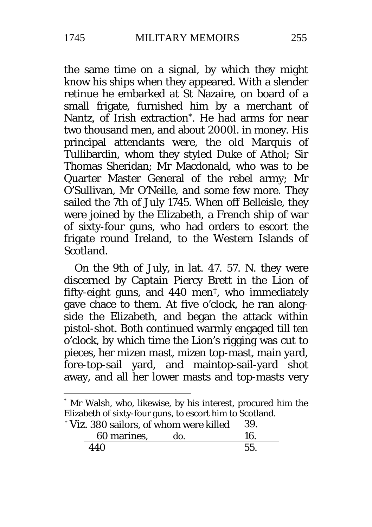the same time on a signal, by which they might know his ships when they appeared. With a slender retinue he embarked at St Nazaire, on board of a small frigate, furnished him by a merchant of Nantz, of Irish extraction[\\*.](#page-4-0) He had arms for near two thousand men, and about 2000l. in money. His principal attendants were, the old Marquis of Tullibardin, whom they styled Duke of Athol; Sir Thomas Sheridan; Mr Macdonald, who was to be Quarter Master General of the rebel army; Mr O'Sullivan, Mr O'Neille, and some few more. They sailed the 7th of July 1745. When off Belleisle, they were joined by the Elizabeth, a French ship of war of sixty-four guns, who had orders to escort the frigate round Ireland, to the Western Islands of Scotland.

On the 9th of July, in lat. 47. 57. N. they were discerned by Captain Piercy Brett in the Lion of fifty-eight guns, and 440 men[†,](#page-4-1) who immediately gave chace to them. At five o'clock, he ran alongside the Elizabeth, and began the attack within pistol-shot. Both continued warmly engaged till ten o'clock, by which time the Lion's rigging was cut to pieces, her mizen mast, mizen top-mast, main yard, fore-top-sail yard, and maintop-sail-yard shot away, and all her lower masts and top-masts very

<span id="page-4-0"></span>Mr Walsh, who, likewise, by his interest, procured him the Elizabeth of sixty-four guns, to escort him to Scotland.

<span id="page-4-1"></span>

| <sup>†</sup> Viz. 380 sailors, of whom were killed |     | -39. |  |
|----------------------------------------------------|-----|------|--|
| 60 marines.                                        | do. | 16.  |  |
| 440                                                |     | 55.  |  |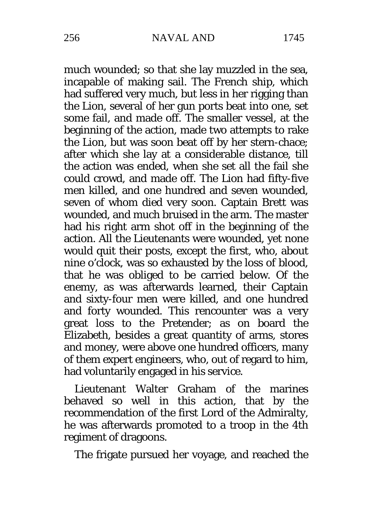much wounded; so that she lay muzzled in the sea, incapable of making sail. The French ship, which had suffered very much, but less in her rigging than the Lion, several of her gun ports beat into one, set some fail, and made off. The smaller vessel, at the beginning of the action, made two attempts to rake the Lion, but was soon beat off by her stern-chace; after which she lay at a considerable distance, till the action was ended, when she set all the fail she could crowd, and made off. The Lion had fifty-five men killed, and one hundred and seven wounded, seven of whom died very soon. Captain Brett was wounded, and much bruised in the arm. The master had his right arm shot off in the beginning of the action. All the Lieutenants were wounded, yet none would quit their posts, except the first, who, about nine o'clock, was so exhausted by the loss of blood, that he was obliged to be carried below. Of the enemy, as was afterwards learned, their Captain and sixty-four men were killed, and one hundred and forty wounded. This rencounter was a very great loss to the Pretender; as on board the Elizabeth, besides a great quantity of arms, stores and money, were above one hundred officers, many of them expert engineers, who, out of regard to him, had voluntarily engaged in his service.

Lieutenant Walter Graham of the marines behaved so well in this action, that by the recommendation of the first Lord of the Admiralty, he was afterwards promoted to a troop in the 4th regiment of dragoons.

The frigate pursued her voyage, and reached the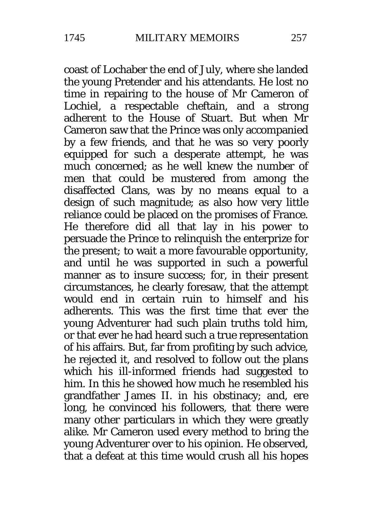coast of Lochaber the end of July, where she landed the young Pretender and his attendants. He lost no time in repairing to the house of Mr Cameron of Lochiel, a respectable cheftain, and a strong adherent to the House of Stuart. But when Mr Cameron saw that the Prince was only accompanied by a few friends, and that he was so very poorly equipped for such a desperate attempt, he was much concerned; as he well knew the number of men that could be mustered from among the disaffected Clans, was by no means equal to a design of such magnitude; as also how very little reliance could be placed on the promises of France. He therefore did all that lay in his power to persuade the Prince to relinquish the enterprize for the present; to wait a more favourable opportunity, and until he was supported in such a powerful manner as to insure success; for, in their present circumstances, he clearly foresaw, that the attempt would end in certain ruin to himself and his adherents. This was the first time that ever the young Adventurer had such plain truths told him, or that ever he had heard such a true representation of his affairs. But, far from profiting by such advice, he rejected it, and resolved to follow out the plans which his ill-informed friends had suggested to him. In this he showed how much he resembled his grandfather James II. in his obstinacy; and, ere long, he convinced his followers, that there were many other particulars in which they were greatly alike. Mr Cameron used every method to bring the young Adventurer over to his opinion. He observed, that a defeat at this time would crush all his hopes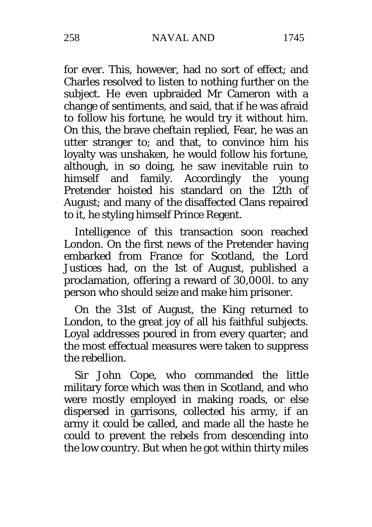for ever. This, however, had no sort of effect; and Charles resolved to listen to nothing further on the subject. He even upbraided Mr Cameron with a change of sentiments, and said, that if he was afraid to follow his fortune, he would try it without him. On this, the brave cheftain replied, Fear, he was an utter stranger to; and that, to convince him his loyalty was unshaken, he would follow his fortune, although, in so doing, he saw inevitable ruin to himself and family. Accordingly the young Pretender hoisted his standard on the 12th of August; and many of the disaffected Clans repaired to it, he styling himself Prince Regent.

Intelligence of this transaction soon reached London. On the first news of the Pretender having embarked from France for Scotland, the Lord Justices had, on the 1st of August, published a proclamation, offering a reward of 30,000l. to any person who should seize and make him prisoner.

On the 31st of August, the King returned to London, to the great joy of all his faithful subjects. Loyal addresses poured in from every quarter; and the most effectual measures were taken to suppress the rebellion.

Sir John Cope, who commanded the little military force which was then in Scotland, and who were mostly employed in making roads, or else dispersed in garrisons, collected his army, if an army it could be called, and made all the haste he could to prevent the rebels from descending into the low country. But when he got within thirty miles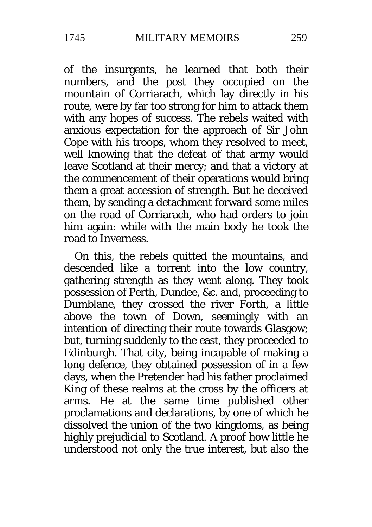of the insurgents, he learned that both their numbers, and the post they occupied on the mountain of Corriarach, which lay directly in his route, were by far too strong for him to attack them with any hopes of success. The rebels waited with anxious expectation for the approach of Sir John Cope with his troops, whom they resolved to meet, well knowing that the defeat of that army would leave Scotland at their mercy; and that a victory at the commencement of their operations would bring them a great accession of strength. But he deceived them, by sending a detachment forward some miles on the road of Corriarach, who had orders to join him again: while with the main body he took the road to Inverness.

On this, the rebels quitted the mountains, and descended like a torrent into the low country, gathering strength as they went along. They took possession of Perth, Dundee, &c. and, proceeding to Dumblane, they crossed the river Forth, a little above the town of Down, seemingly with an intention of directing their route towards Glasgow; but, turning suddenly to the east, they proceeded to Edinburgh. That city, being incapable of making a long defence, they obtained possession of in a few days, when the Pretender had his father proclaimed King of these realms at the cross by the officers at arms. He at the same time published other proclamations and declarations, by one of which he dissolved the union of the two kingdoms, as being highly prejudicial to Scotland. A proof how little he understood not only the true interest, but also the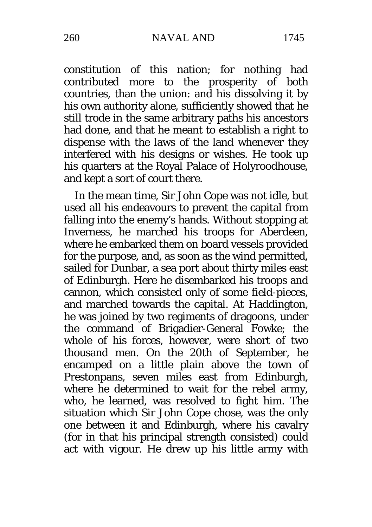constitution of this nation; for nothing had contributed more to the prosperity of both countries, than the union: and his dissolving it by his own authority alone, sufficiently showed that he still trode in the same arbitrary paths his ancestors had done, and that he meant to establish a right to dispense with the laws of the land whenever they interfered with his designs or wishes. He took up his quarters at the Royal Palace of Holyroodhouse, and kept a sort of court there.

In the mean time, Sir John Cope was not idle, but used all his endeavours to prevent the capital from falling into the enemy's hands. Without stopping at Inverness, he marched his troops for Aberdeen, where he embarked them on board vessels provided for the purpose, and, as soon as the wind permitted, sailed for Dunbar, a sea port about thirty miles east of Edinburgh. Here he disembarked his troops and cannon, which consisted only of some field-pieces, and marched towards the capital. At Haddington, he was joined by two regiments of dragoons, under the command of Brigadier-General Fowke; the whole of his forces, however, were short of two thousand men. On the 20th of September, he encamped on a little plain above the town of Prestonpans, seven miles east from Edinburgh, where he determined to wait for the rebel army. who, he learned, was resolved to fight him. The situation which Sir John Cope chose, was the only one between it and Edinburgh, where his cavalry (for in that his principal strength consisted) could act with vigour. He drew up his little army with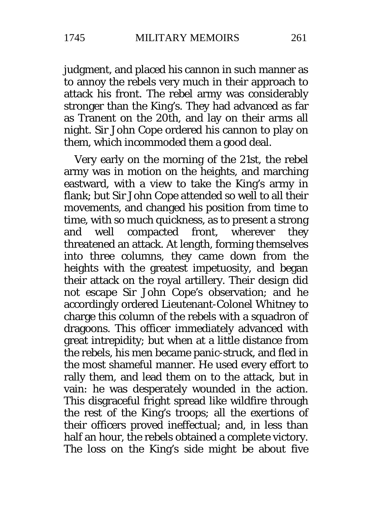judgment, and placed his cannon in such manner as to annoy the rebels very much in their approach to attack his front. The rebel army was considerably stronger than the King's. They had advanced as far as Tranent on the 20th, and lay on their arms all night. Sir John Cope ordered his cannon to play on them, which incommoded them a good deal.

Very early on the morning of the 21st, the rebel army was in motion on the heights, and marching eastward, with a view to take the King's army in flank; but Sir John Cope attended so well to all their movements, and changed his position from time to time, with so much quickness, as to present a strong and well compacted front, wherever they threatened an attack. At length, forming themselves into three columns, they came down from the heights with the greatest impetuosity, and began their attack on the royal artillery. Their design did not escape Sir John Cope's observation; and he accordingly ordered Lieutenant-Colonel Whitney to charge this column of the rebels with a squadron of dragoons. This officer immediately advanced with great intrepidity; but when at a little distance from the rebels, his men became panic-struck, and fled in the most shameful manner. He used every effort to rally them, and lead them on to the attack, but in vain: he was desperately wounded in the action. This disgraceful fright spread like wildfire through the rest of the King's troops; all the exertions of their officers proved ineffectual; and, in less than half an hour, the rebels obtained a complete victory. The loss on the King's side might be about five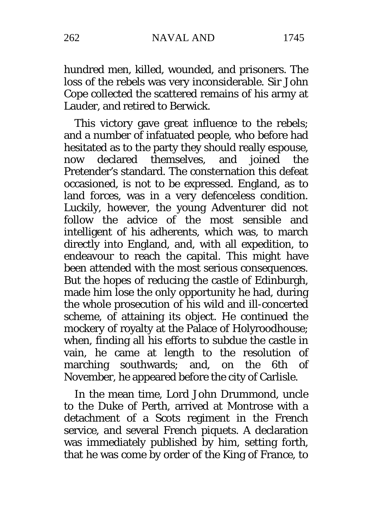hundred men, killed, wounded, and prisoners. The loss of the rebels was very inconsiderable. Sir John Cope collected the scattered remains of his army at Lauder, and retired to Berwick.

This victory gave great influence to the rebels; and a number of infatuated people, who before had hesitated as to the party they should really espouse,<br>now declared themselves, and ioined the now declared themselves. Pretender's standard. The consternation this defeat occasioned, is not to be expressed. England, as to land forces, was in a very defenceless condition. Luckily, however, the young Adventurer did not follow the advice of the most sensible and intelligent of his adherents, which was, to march directly into England, and, with all expedition, to endeavour to reach the capital. This might have been attended with the most serious consequences. But the hopes of reducing the castle of Edinburgh, made him lose the only opportunity he had, during the whole prosecution of his wild and ill-concerted scheme, of attaining its object. He continued the mockery of royalty at the Palace of Holyroodhouse; when, finding all his efforts to subdue the castle in vain, he came at length to the resolution of<br>marching southwards: and, on the 6th of marching southwards; and, November, he appeared before the city of Carlisle.

In the mean time, Lord John Drummond, uncle to the Duke of Perth, arrived at Montrose with a detachment of a Scots regiment in the French service, and several French piquets. A declaration was immediately published by him, setting forth, that he was come by order of the King of France, to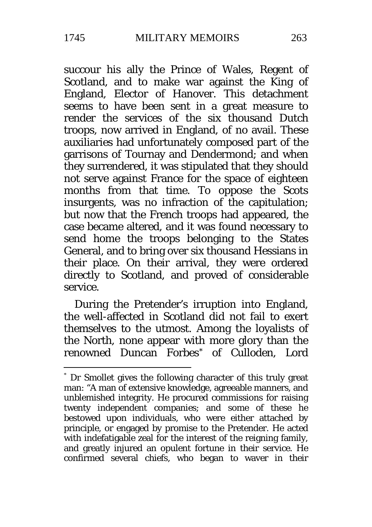succour his ally the Prince of Wales, Regent of Scotland, and to make war against the King of England, Elector of Hanover. This detachment seems to have been sent in a great measure to render the services of the six thousand Dutch troops, now arrived in England, of no avail. These auxiliaries had unfortunately composed part of the garrisons of Tournay and Dendermond; and when they surrendered, it was stipulated that they should not serve against France for the space of eighteen months from that time. To oppose the Scots insurgents, was no infraction of the capitulation; but now that the French troops had appeared, the case became altered, and it was found necessary to send home the troops belonging to the States General, and to bring over six thousand Hessians in their place. On their arrival, they were ordered directly to Scotland, and proved of considerable service.

During the Pretender's irruption into England, the well-affected in Scotland did not fail to exert themselves to the utmost. Among the loyalists of the North, none appear with more glory than the renowned Duncan Forbes[\\*](#page-12-0) of Culloden, Lord

<span id="page-12-0"></span> <sup>\*</sup> Dr Smollet gives the following character of this truly great man: "A man of extensive knowledge, agreeable manners, and unblemished integrity. He procured commissions for raising twenty independent companies; and some of these he bestowed upon individuals, who were either attached by principle, or engaged by promise to the Pretender. He acted with indefatigable zeal for the interest of the reigning family, and greatly injured an opulent fortune in their service. He confirmed several chiefs, who began to waver in their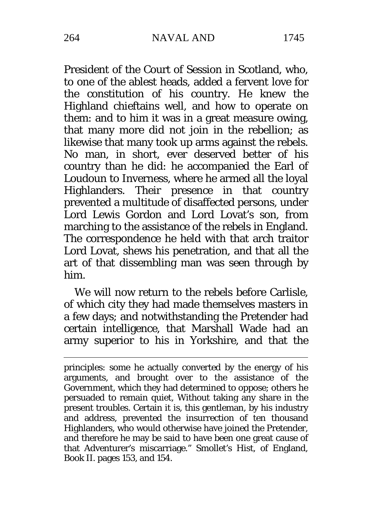President of the Court of Session in Scotland, who, to one of the ablest heads, added a fervent love for the constitution of his country. He knew the Highland chieftains well, and how to operate on them: and to him it was in a great measure owing, that many more did not join in the rebellion; as likewise that many took up arms against the rebels. No man, in short, ever deserved better of his country than he did: he accompanied the Earl of Loudoun to Inverness, where he armed all the loyal Highlanders. Their presence in that country prevented a multitude of disaffected persons, under Lord Lewis Gordon and Lord Lovat's son, from marching to the assistance of the rebels in England. The correspondence he held with that arch traitor Lord Lovat, shews his penetration, and that all the art of that dissembling man was seen through by him.

We will now return to the rebels before Carlisle. of which city they had made themselves masters in a few days; and notwithstanding the Pretender had certain intelligence, that Marshall Wade had an army superior to his in Yorkshire, and that the

-

principles: some he actually converted by the energy of his arguments, and brought over to the assistance of the Government, which they had determined to oppose; others he persuaded to remain quiet, Without taking any share in the present troubles. Certain it is, this gentleman, by his industry and address, prevented the insurrection of ten thousand Highlanders, who would otherwise have joined the Pretender, and therefore he may be said to have been one great cause of that Adventurer's miscarriage." Smollet's Hist, of England, Book II. pages 153*,* and 154.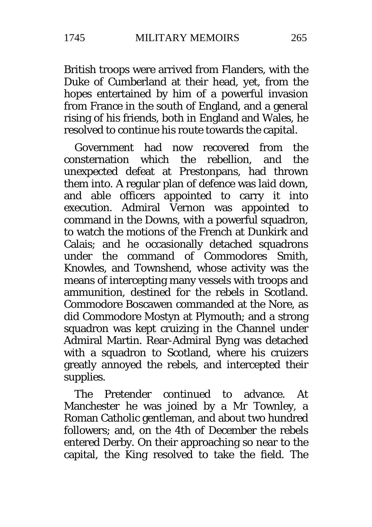British troops were arrived from Flanders, with the Duke of Cumberland at their head, yet, from the hopes entertained by him of a powerful invasion from France in the south of England, and a general rising of his friends, both in England and Wales, he resolved to continue his route towards the capital.

Government had now recovered from the<br>nsternation which the rebellion, and the consternation which the rebellion. unexpected defeat at Prestonpans, had thrown them into. A regular plan of defence was laid down, and able officers appointed to carry it into execution. Admiral Vernon was appointed to command in the Downs, with a powerful squadron, to watch the motions of the French at Dunkirk and Calais; and he occasionally detached squadrons under the command of Commodores Smith, Knowles, and Townshend, whose activity was the means of intercepting many vessels with troops and ammunition, destined for the rebels in Scotland. Commodore Boscawen commanded at the Nore, as did Commodore Mostyn at Plymouth; and a strong squadron was kept cruizing in the Channel under Admiral Martin. Rear-Admiral Byng was detached with a squadron to Scotland, where his cruizers greatly annoyed the rebels, and intercepted their supplies.

The Pretender continued to advance. At Manchester he was joined by a Mr Townley, a Roman Catholic gentleman, and about two hundred followers; and, on the 4th of December the rebels entered Derby. On their approaching so near to the capital, the King resolved to take the field. The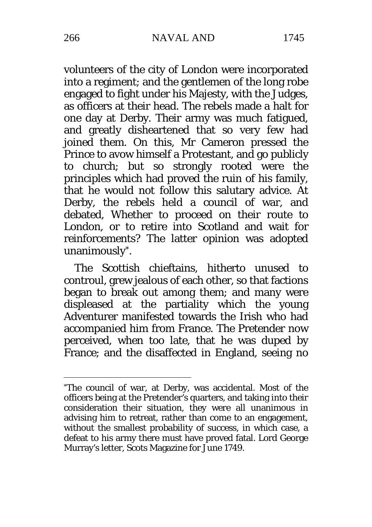volunteers of the city of London were incorporated into a regiment; and the gentlemen of the long robe engaged to fight under his Majesty, with the Judges, as officers at their head. The rebels made a halt for one day at Derby. Their army was much fatigued, and greatly disheartened that so very few had joined them. On this, Mr Cameron pressed the Prince to avow himself a Protestant, and go publicly to church; but so strongly rooted were the principles which had proved the ruin of his family, that he would not follow this salutary advice. At Derby, the rebels held a council of war, and debated, Whether to proceed on their route to London, or to retire into Scotland and wait for reinforcements? The latter opinion was adopted unanimously[\\*](#page-15-0).

The Scottish chieftains, hitherto unused to controul, grew jealous of each other, so that factions began to break out among them; and many were displeased at the partiality which the young Adventurer manifested towards the Irish who had accompanied him from France. The Pretender now perceived, when too late, that he was duped by France; and the disaffected in England, seeing no

-

<span id="page-15-0"></span><sup>\*</sup>The council of war, at Derby, was accidental. Most of the officers being at the Pretender's quarters, and taking into their consideration their situation, they were all unanimous in advising him to retreat, rather than come to an engagement, without the smallest probability of success, in which case, a defeat to his army there must have proved fatal. Lord George Murray's letter, Scots Magazine for June 1749.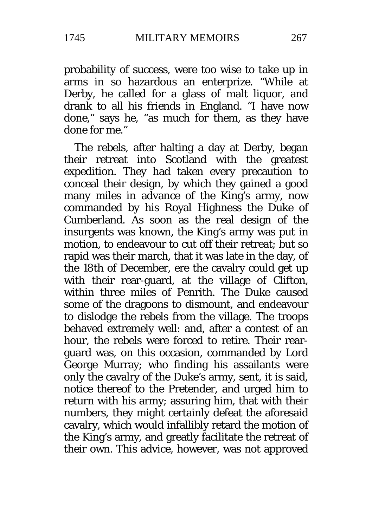probability of success, were too wise to take up in arms in so hazardous an enterprize. "While at Derby, he called for a glass of malt liquor, and drank to all his friends in England. "I have now done," says he, "as much for them, as they have done for me."

The rebels, after halting a day at Derby, began their retreat into Scotland with the greatest expedition. They had taken every precaution to conceal their design, by which they gained a good many miles in advance of the King's army, now commanded by his Royal Highness the Duke of Cumberland. As soon as the real design of the insurgents was known, the King's army was put in motion, to endeavour to cut off their retreat; but so rapid was their march, that it was late in the day, of the 18th of December, ere the cavalry could get up with their rear-guard, at the village of Clifton, within three miles of Penrith. The Duke caused some of the dragoons to dismount, and endeavour to dislodge the rebels from the village. The troops behaved extremely well: and, after a contest of an hour, the rebels were forced to retire. Their rearguard was, on this occasion, commanded by Lord George Murray; who finding his assailants were only the cavalry of the Duke's army, sent, it is said, notice thereof to the Pretender, and urged him to return with his army; assuring him, that with their numbers, they might certainly defeat the aforesaid cavalry, which would infallibly retard the motion of the King's army, and greatly facilitate the retreat of their own. This advice, however, was not approved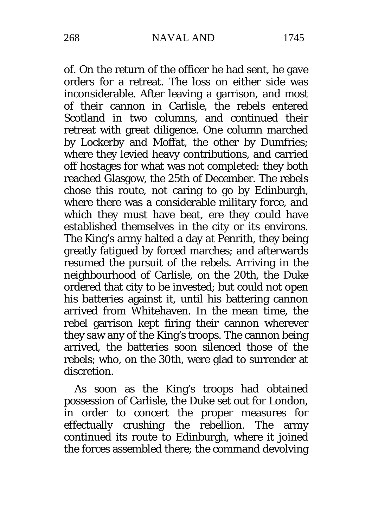of. On the return of the officer he had sent, he gave orders for a retreat. The loss on either side was inconsiderable. After leaving a garrison, and most of their cannon in Carlisle, the rebels entered Scotland in two columns, and continued their retreat with great diligence. One column marched by Lockerby and Moffat, the other by Dumfries; where they levied heavy contributions, and carried off hostages for what was not completed: they both reached Glasgow, the 25th of December. The rebels chose this route, not caring to go by Edinburgh, where there was a considerable military force, and which they must have beat, ere they could have established themselves in the city or its environs. The King's army halted a day at Penrith, they being greatly fatigued by forced marches; and afterwards resumed the pursuit of the rebels. Arriving in the neighbourhood of Carlisle, on the 20th, the Duke ordered that city to be invested; but could not open his batteries against it, until his battering cannon arrived from Whitehaven. In the mean time, the rebel garrison kept firing their cannon wherever they saw any of the King's troops. The cannon being arrived, the batteries soon silenced those of the rebels; who, on the 30th, were glad to surrender at discretion.

As soon as the King's troops had obtained possession of Carlisle, the Duke set out for London, in order to concert the proper measures for effectually crushing the rebellion. The army continued its route to Edinburgh, where it joined the forces assembled there; the command devolving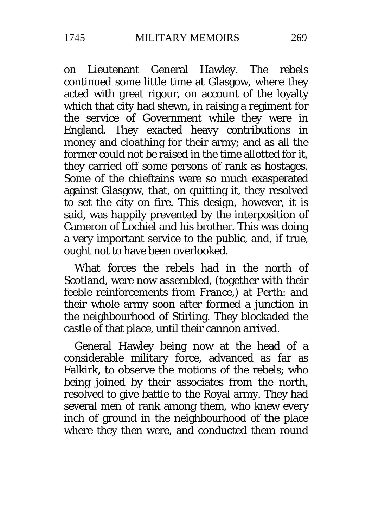on Lieutenant General Hawley. The rebels continued some little time at Glasgow, where they acted with great rigour, on account of the loyalty which that city had shewn, in raising a regiment for the service of Government while they were in England. They exacted heavy contributions in money and cloathing for their army; and as all the former could not be raised in the time allotted for it. they carried off some persons of rank as hostages. Some of the chieftains were so much exasperated against Glasgow, that, on quitting it, they resolved to set the city on fire. This design, however, it is said, was happily prevented by the interposition of Cameron of Lochiel and his brother. This was doing a very important service to the public, and, if true, ought not to have been overlooked.

What forces the rebels had in the north of Scotland, were now assembled, (together with their feeble reinforcements from France,) at Perth: and their whole army soon after formed a junction in the neighbourhood of Stirling. They blockaded the castle of that place, until their cannon arrived.

General Hawley being now at the head of a considerable military force, advanced as far as Falkirk, to observe the motions of the rebels; who being joined by their associates from the north, resolved to give battle to the Royal army. They had several men of rank among them, who knew every inch of ground in the neighbourhood of the place where they then were, and conducted them round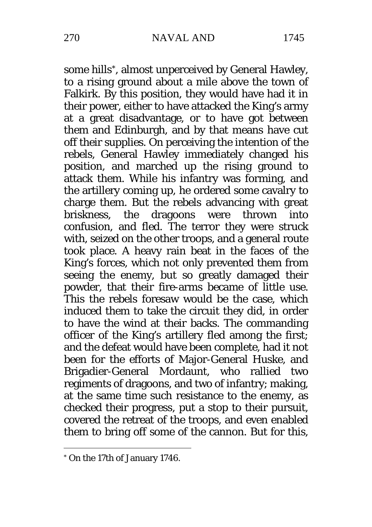some hills[\\*](#page-19-0), almost unperceived by General Hawley, to a rising ground about a mile above the town of Falkirk. By this position, they would have had it in their power, either to have attacked the King's army at a great disadvantage, or to have got between them and Edinburgh, and by that means have cut off their supplies. On perceiving the intention of the rebels, General Hawley immediately changed his position, and marched up the rising ground to attack them. While his infantry was forming, and the artillery coming up, he ordered some cavalry to charge them. But the rebels advancing with great<br>briskness, the dragoons were thrown into dragoons were thrown into confusion, and fled. The terror they were struck with, seized on the other troops, and a general route took place. A heavy rain beat in the faces of the King's forces, which not only prevented them from seeing the enemy, but so greatly damaged their powder, that their fire-arms became of little use. This the rebels foresaw would be the case, which induced them to take the circuit they did, in order to have the wind at their backs. The commanding officer of the King's artillery fled among the first; and the defeat would have been complete, had it not been for the efforts of Major-General Huske, and Brigadier-General Mordaunt, who rallied two regiments of dragoons, and two of infantry; making, at the same time such resistance to the enemy, as checked their progress, put a stop to their pursuit, covered the retreat of the troops, and even enabled them to bring off some of the cannon. But for this,

-

<span id="page-19-0"></span><sup>\*</sup> On the 17th of January 1746.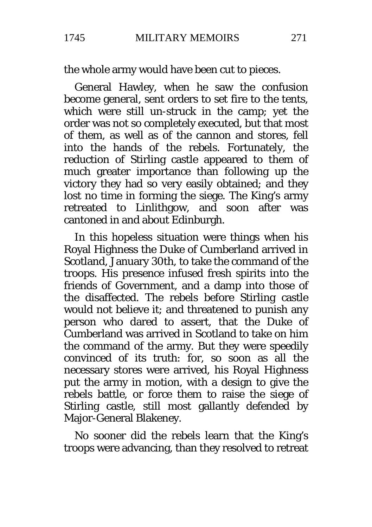the whole army would have been cut to pieces.

General Hawley, when he saw the confusion become general, sent orders to set fire to the tents, which were still un-struck in the camp; yet the order was not so completely executed, but that most of them, as well as of the cannon and stores, fell into the hands of the rebels. Fortunately, the reduction of Stirling castle appeared to them of much greater importance than following up the victory they had so very easily obtained; and they lost no time in forming the siege. The King's army retreated to Linlithgow, and soon after was cantoned in and about Edinburgh.

In this hopeless situation were things when his Royal Highness the Duke of Cumberland arrived in Scotland, January 30th, to take the command of the troops. His presence infused fresh spirits into the friends of Government, and a damp into those of the disaffected. The rebels before Stirling castle would not believe it; and threatened to punish any person who dared to assert, that the Duke of Cumberland was arrived in Scotland to take on him the command of the army. But they were speedily convinced of its truth: for, so soon as all the necessary stores were arrived, his Royal Highness put the army in motion, with a design to give the rebels battle, or force them to raise the siege of Stirling castle, still most gallantly defended by Major-General Blakeney.

No sooner did the rebels learn that the King's troops were advancing, than they resolved to retreat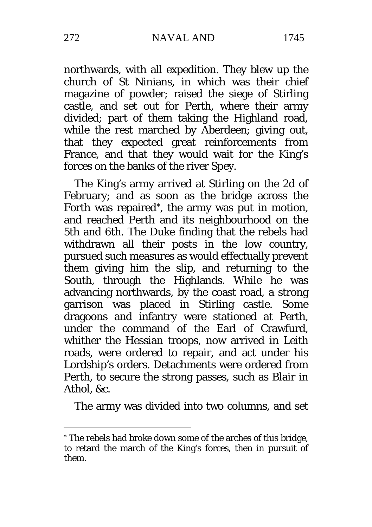northwards, with all expedition. They blew up the church of St Ninians, in which was their chief magazine of powder; raised the siege of Stirling castle, and set out for Perth, where their army divided; part of them taking the Highland road, while the rest marched by Aberdeen; giving out,

that they expected great reinforcements from France, and that they would wait for the King's forces on the banks of the river Spey.

The King's army arrived at Stirling on the 2d of February; and as soon as the bridge across the Forth was repaired[\\*,](#page-21-0) the army was put in motion, and reached Perth and its neighbourhood on the 5th and 6th. The Duke finding that the rebels had withdrawn all their posts in the low country, pursued such measures as would effectually prevent them giving him the slip, and returning to the South, through the Highlands. While he was advancing northwards, by the coast road, a strong garrison was placed in Stirling castle. Some dragoons and infantry were stationed at Perth, under the command of the Earl of Crawfurd, whither the Hessian troops, now arrived in Leith roads, were ordered to repair, and act under his Lordship's orders. Detachments were ordered from Perth, to secure the strong passes, such as Blair in Athol,  $\&c$ 

The army was divided into two columns, and set

<u>.</u>

<span id="page-21-0"></span><sup>\*</sup> The rebels had broke down some of the arches of this bridge, to retard the march of the King's forces, then in pursuit of them.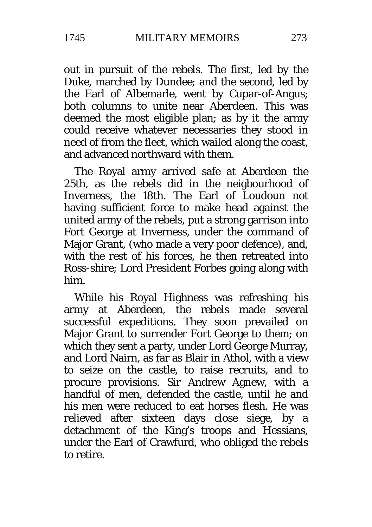out in pursuit of the rebels. The first, led by the Duke, marched by Dundee; and the second, led by the Earl of Albemarle, went by Cupar-of-Angus; both columns to unite near Aberdeen. This was deemed the most eligible plan; as by it the army could receive whatever necessaries they stood in need of from the fleet, which wailed along the coast, and advanced northward with them.

The Royal army arrived safe at Aberdeen the 25th, as the rebels did in the neigbourhood of Inverness, the 18th. The Earl of Loudoun not having sufficient force to make head against the united army of the rebels, put a strong garrison into Fort George at Inverness, under the command of Major Grant, (who made a very poor defence), and, with the rest of his forces, he then retreated into Ross-shire; Lord President Forbes going along with him.

While his Royal Highness was refreshing his army at Aberdeen, the rebels made several successful expeditions. They soon prevailed on Major Grant to surrender Fort George to them; on which they sent a party, under Lord George Murray, and Lord Nairn, as far as Blair in Athol, with a view to seize on the castle, to raise recruits, and to procure provisions. Sir Andrew Agnew, with a handful of men, defended the castle, until he and his men were reduced to eat horses flesh. He was relieved after sixteen days close siege, by a detachment of the King's troops and Hessians, under the Earl of Crawfurd, who obliged the rebels to retire.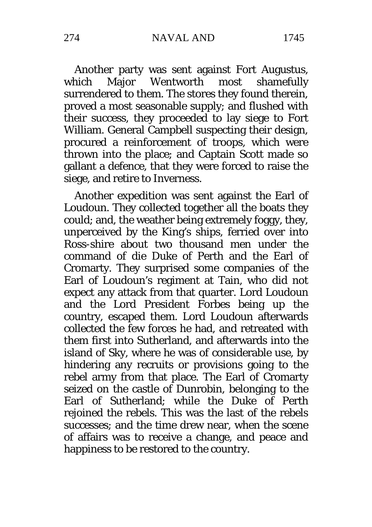Another party was sent against Fort Augustus,<br>hich Maior Wentworth most shamefully which Major Wentworth most surrendered to them. The stores they found therein, proved a most seasonable supply; and flushed with their success, they proceeded to lay siege to Fort William. General Campbell suspecting their design, procured a reinforcement of troops, which were thrown into the place; and Captain Scott made so gallant a defence, that they were forced to raise the siege, and retire to Inverness.

Another expedition was sent against the Earl of Loudoun. They collected together all the boats they could; and, the weather being extremely foggy, they, unperceived by the King's ships, ferried over into Ross-shire about two thousand men under the command of die Duke of Perth and the Earl of Cromarty. They surprised some companies of the Earl of Loudoun's regiment at Tain, who did not expect any attack from that quarter. Lord Loudoun and the Lord President Forbes being up the country, escaped them. Lord Loudoun afterwards collected the few forces he had, and retreated with them first into Sutherland, and afterwards into the island of Sky, where he was of considerable use, by hindering any recruits or provisions going to the rebel army from that place. The Earl of Cromarty seized on the castle of Dunrobin, belonging to the Earl of Sutherland; while the Duke of Perth rejoined the rebels. This was the last of the rebels successes; and the time drew near, when the scene of affairs was to receive a change, and peace and happiness to be restored to the country.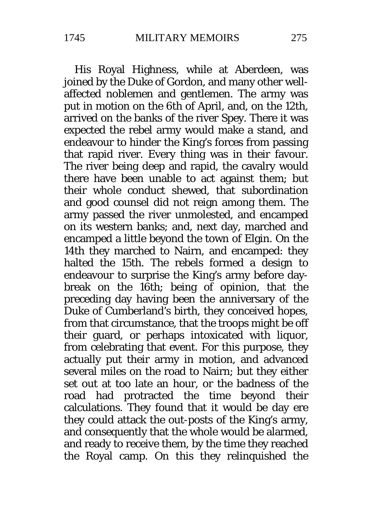His Royal Highness, while at Aberdeen, was joined by the Duke of Gordon, and many other wellaffected noblemen and gentlemen. The army was put in motion on the 6th of April, and, on the 12th, arrived on the banks of the river Spey. There it was expected the rebel army would make a stand, and endeavour to hinder the King's forces from passing that rapid river. Every thing was in their favour. The river being deep and rapid, the cavalry would there have been unable to act against them; but their whole conduct shewed, that subordination and good counsel did not reign among them. The army passed the river unmolested, and encamped on its western banks; and, next day, marched and encamped a little beyond the town of Elgin. On the 14th they marched to Nairn, and encamped: they halted the 15th. The rebels formed a design to endeavour to surprise the King's army before daybreak on the 16th; being of opinion, that the preceding day having been the anniversary of the Duke of Cumberland's birth, they conceived hopes, from that circumstance, that the troops might be off their guard, or perhaps intoxicated with liquor, from celebrating that event. For this purpose, they actually put their army in motion, and advanced several miles on the road to Nairn; but they either set out at too late an hour, or the badness of the road had protracted the time beyond their calculations. They found that it would be day ere they could attack the out-posts of the King's army, and consequently that the whole would be alarmed, and ready to receive them, by the time they reached the Royal camp. On this they relinquished the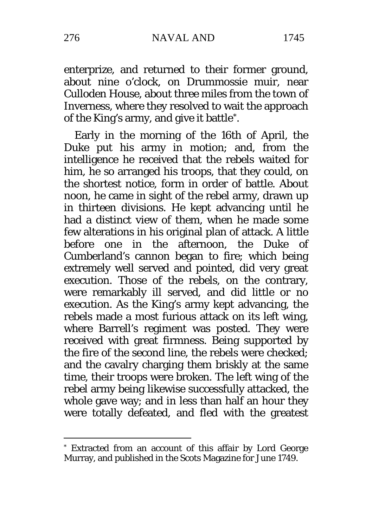276 NAVAL AND 1745

enterprize, and returned to their former ground, about nine o'clock, on Drummossie muir, near Culloden House, about three miles from the town of Inverness, where they resolved to wait the approach of the King's army, and give it battle[\\*.](#page-25-0)

Early in the morning of the 16th of April, the Duke put his army in motion; and, from the intelligence he received that the rebels waited for him, he so arranged his troops, that they could, on the shortest notice, form in order of battle. About noon, he came in sight of the rebel army, drawn up in thirteen divisions. He kept advancing until he had a distinct view of them, when he made some few alterations in his original plan of attack. A little before one in the afternoon, the Duke of Cumberland's cannon began to fire; which being extremely well served and pointed, did very great execution. Those of the rebels, on the contrary, were remarkably ill served, and did little or no execution. As the King's army kept advancing, the rebels made a most furious attack on its left wing, where Barrell's regiment was posted. They were received with great firmness. Being supported by the fire of the second line, the rebels were checked; and the cavalry charging them briskly at the same time, their troops were broken. The left wing of the rebel army being likewise successfully attacked, the whole gave way; and in less than half an hour they were totally defeated, and fled with the greatest

-

<span id="page-25-0"></span><sup>\*</sup> Extracted from an account of this affair by Lord George Murray, and published in the Scots Magazine for June 1749.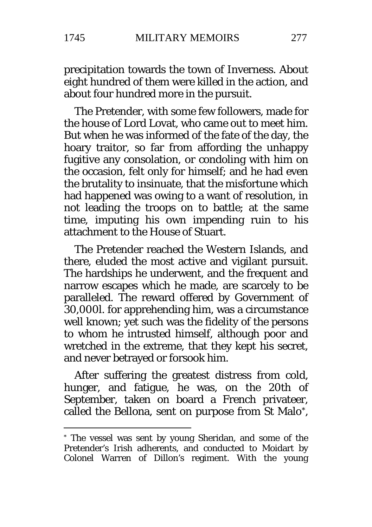### precipitation towards the town of Inverness. About eight hundred of them were killed in the action, and about four hundred more in the pursuit.

The Pretender, with some few followers, made for the house of Lord Lovat, who came out to meet him. But when he was informed of the fate of the day, the hoary traitor, so far from affording the unhappy fugitive any consolation, or condoling with him on the occasion, felt only for himself; and he had even the brutality to insinuate, that the misfortune which had happened was owing to a want of resolution, in not leading the troops on to battle; at the same time, imputing his own impending ruin to his attachment to the House of Stuart.

The Pretender reached the Western Islands, and there, eluded the most active and vigilant pursuit. The hardships he underwent, and the frequent and narrow escapes which he made, are scarcely to be paralleled. The reward offered by Government of 30,000l. for apprehending him, was a circumstance well known; yet such was the fidelity of the persons to whom he intrusted himself, although poor and wretched in the extreme, that they kept his secret, and never betrayed or forsook him.

After suffering the greatest distress from cold, hunger, and fatigue, he was, on the 20th of September, taken on board a French privateer. called the Bellona, sent on purpose from St Malo[\\*](#page-26-0),

<u>.</u>

<span id="page-26-0"></span><sup>\*</sup> The vessel was sent by young Sheridan, and some of the Pretender's Irish adherents, and conducted to Moidart by Colonel Warren of Dillon's regiment. With the young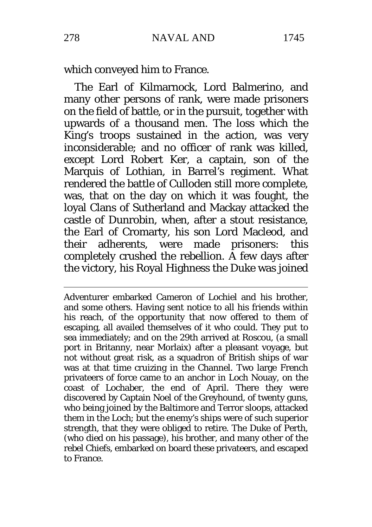which conveyed him to France.

The Earl of Kilmarnock, Lord Balmerino, and many other persons of rank, were made prisoners on the field of battle, or in the pursuit, together with upwards of a thousand men. The loss which the King's troops sustained in the action, was very inconsiderable; and no officer of rank was killed, except Lord Robert Ker, a captain, son of the Marquis of Lothian, in Barrel's regiment. What rendered the battle of Culloden still more complete, was, that on the day on which it was fought, the loyal Clans of Sutherland and Mackay attacked the castle of Dunrobin, when, after a stout resistance, the Earl of Cromarty, his son Lord Macleod, and their adherents, were made prisoners: this completely crushed the rebellion. A few days after the victory, his Royal Highness the Duke was joined

-Adventurer embarked Cameron of Lochiel and his brother, and some others. Having sent notice to all his friends within his reach, of the opportunity that now offered to them of escaping, all availed themselves of it who could. They put to sea immediately; and on the 29th arrived at Roscou, (a small port in Britanny, near Morlaix) after a pleasant voyage, but not without great risk, as a squadron of British ships of war was at that time cruizing in the Channel. Two large French privateers of force came to an anchor in Loch Nouay, on the coast of Lochaber, the end of April. There they were discovered by Captain Noel of the Greyhound, of twenty guns, who being joined by the Baltimore and Terror sloops, attacked them in the Loch; but the enemy's ships were of such superior strength, that they were obliged to retire. The Duke of Perth, (who died on his passage), his brother, and many other of the rebel Chiefs, embarked on board these privateers, and escaped to France.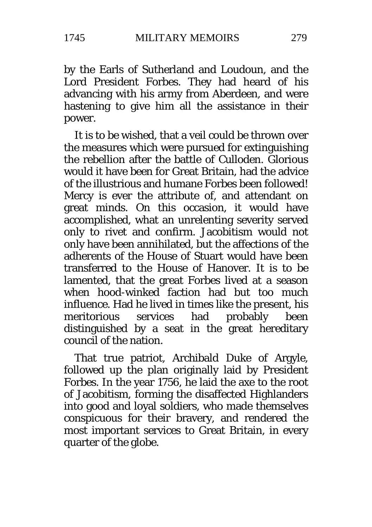by the Earls of Sutherland and Loudoun, and the Lord President Forbes. They had heard of his advancing with his army from Aberdeen, and were hastening to give him all the assistance in their power.

It is to be wished, that a veil could be thrown over the measures which were pursued for extinguishing the rebellion after the battle of Culloden. Glorious would it have been for Great Britain, had the advice of the illustrious and humane Forbes been followed! Mercy is ever the attribute of, and attendant on great minds. On this occasion, it would have accomplished, what an unrelenting severity served only to rivet and confirm. Jacobitism would not only have been annihilated, but the affections of the adherents of the House of Stuart would have been transferred to the House of Hanover. It is to be lamented, that the great Forbes lived at a season when hood-winked faction had but too much influence. Had he lived in times like the present, his meritorious services had probably been distinguished by a seat in the great hereditary council of the nation.

That true patriot, Archibald Duke of Argyle, followed up the plan originally laid by President Forbes. In the year 1756, he laid the axe to the root of Jacobitism, forming the disaffected Highlanders into good and loyal soldiers, who made themselves conspicuous for their bravery, and rendered the most important services to Great Britain, in every quarter of the globe.